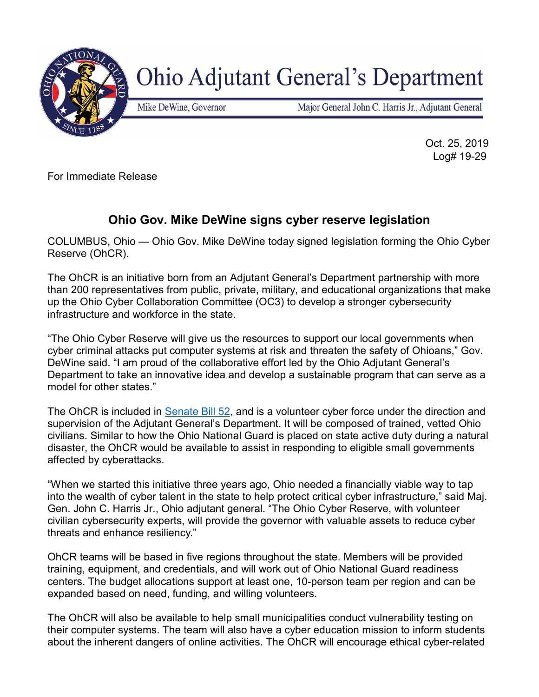

## **Ohio Adjutant General's Department**

Mike DeWine, Governor

Major General John C. Harris Jr., Adjutant General

 Oct. 25, 2019 Log# 19-29

For Immediate Release

## **Ohio Gov. Mike DeWine signs cyber reserve legislation**

COLUMBUS, Ohio — Ohio Gov. Mike DeWine today signed legislation forming the Ohio Cyber Reserve (OhCR).

The OhCR is an initiative born from an Adjutant General's Department partnership with more than 200 representatives from public, private, military, and educational organizations that make up the Ohio Cyber Collaboration Committee (OC3) to develop a stronger cybersecurity infrastructure and workforce in the state.

"The Ohio Cyber Reserve will give us the resources to support our local governments when cyber criminal attacks put computer systems at risk and threaten the safety of Ohioans," Gov. DeWine said. "I am proud of the collaborative effort led by the Ohio Adjutant General's Department to take an innovative idea and develop a sustainable program that can serve as a model for other states."

The OhCR is included in [Senate Bill 52,](http://www.ohiosenate.gov/legislation/GA133-SB-52) and is a volunteer cyber force under the direction and supervision of the Adjutant General's Department. It will be composed of trained, vetted Ohio civilians. Similar to how the Ohio National Guard is placed on state active duty during a natural disaster, the OhCR would be available to assist in responding to eligible small governments affected by cyberattacks.

"When we started this initiative three years ago, Ohio needed a financially viable way to tap into the wealth of cyber talent in the state to help protect critical cyber infrastructure," said Maj. Gen. John C. Harris Jr., Ohio adjutant general. "The Ohio Cyber Reserve, with volunteer civilian cybersecurity experts, will provide the governor with valuable assets to reduce cyber threats and enhance resiliency."

OhCR teams will be based in five regions throughout the state. Members will be provided training, equipment, and credentials, and will work out of Ohio National Guard readiness centers. The budget allocations support at least one, 10-person team per region and can be expanded based on need, funding, and willing volunteers.

The OhCR will also be available to help small municipalities conduct vulnerability testing on their computer systems. The team will also have a cyber education mission to inform students about the inherent dangers of online activities. The OhCR will encourage ethical cyber-related